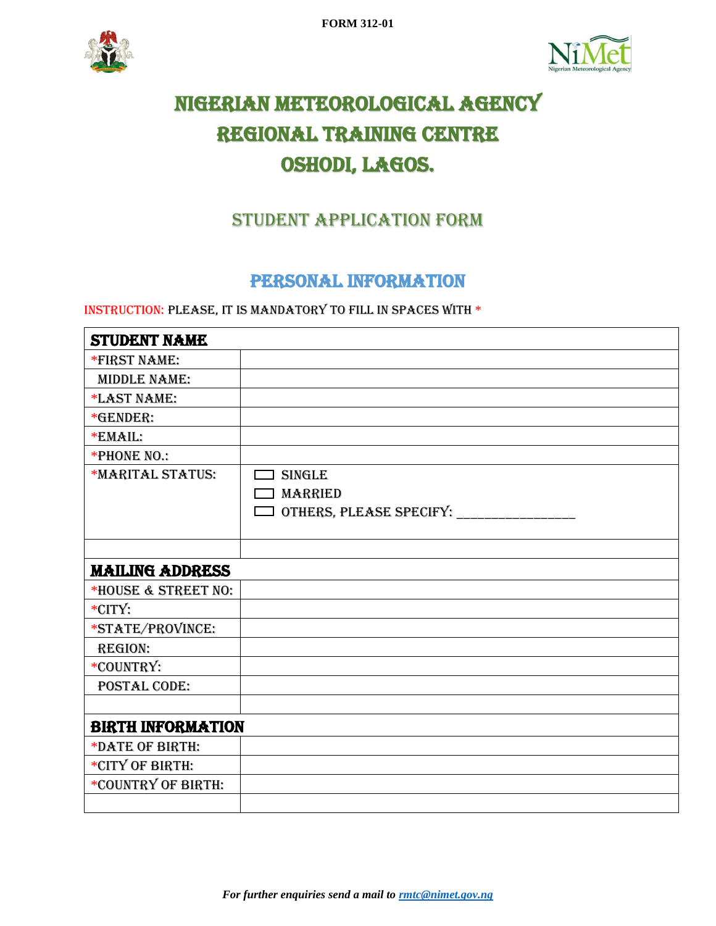**FORM 312-01**





# NIGERIAN METEOROLOGICAL AGENCY REGIONAL TRAINING CENTRE OSHODI, LAGOS.

## STUDENT APPLICATION FORM

#### PERSONAL INFORMATION

#### Instruction: Please, it is mandatory to fill in spaces with \*

| <b>STUDENT NAME</b>      |                         |
|--------------------------|-------------------------|
| *FIRST NAME:             |                         |
| <b>MIDDLE NAME:</b>      |                         |
| *LAST NAME:              |                         |
| *GENDER:                 |                         |
| *EMAIL:                  |                         |
| *PHONE NO.:              |                         |
| *MARITAL STATUS:         | <b>SINGLE</b>           |
|                          | <b>MARRIED</b>          |
|                          | OTHERS, PLEASE SPECIFY: |
|                          |                         |
|                          |                         |
| <b>MAILING ADDRESS</b>   |                         |
| *HOUSE & STREET NO:      |                         |
| *CITY:                   |                         |
| *STATE/PROVINCE:         |                         |
| <b>REGION:</b>           |                         |
| *COUNTRY:                |                         |
| <b>POSTAL CODE:</b>      |                         |
|                          |                         |
| <b>BIRTH INFORMATION</b> |                         |
| *DATE OF BIRTH:          |                         |
| *CITY OF BIRTH:          |                         |
| *COUNTRY OF BIRTH:       |                         |
|                          |                         |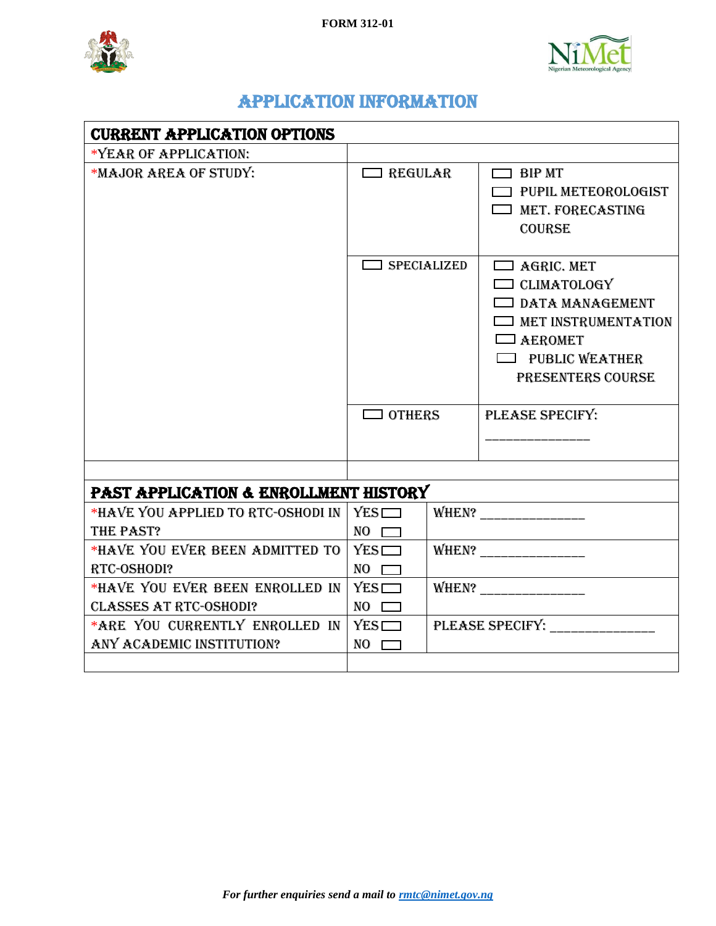



## APPLICATION INFORMATION

| <b>CURRENT APPLICATION OPTIONS</b>              |                    |  |                                                                                                                                                                 |  |
|-------------------------------------------------|--------------------|--|-----------------------------------------------------------------------------------------------------------------------------------------------------------------|--|
| *YEAR OF APPLICATION:                           |                    |  |                                                                                                                                                                 |  |
| *MAJOR AREA OF STUDY:                           | $\Box$ REGULAR     |  | $\Box$ BIP MT<br><b>T</b> PUPIL METEOROLOGIST<br>$\Box$ MET. FORECASTING<br><b>COURSE</b>                                                                       |  |
|                                                 | $\Box$ SPECIALIZED |  | $\Box$ AGRIC. MET<br>$\Box$ CLIMATOLOGY<br>$\Box$ DATA MANAGEMENT<br>$\Box$ MET INSTRUMENTATION<br>$\Box$ AEROMET<br><b>PUBLIC WEATHER</b><br>PRESENTERS COURSE |  |
|                                                 | $\Box$ OTHERS      |  | PLEASE SPECIFY:                                                                                                                                                 |  |
|                                                 |                    |  |                                                                                                                                                                 |  |
| PAST APPLICATION & ENROLLMENT HISTORY           |                    |  |                                                                                                                                                                 |  |
| *HAVE YOU APPLIED TO RTC-OSHODI IN<br>THE PAST? | YES<br>NO D        |  | WHEN? _______________                                                                                                                                           |  |
| *HAVE YOU EVER BEEN ADMITTED TO                 | YES                |  |                                                                                                                                                                 |  |
| RTC-OSHODI?                                     | NO D               |  |                                                                                                                                                                 |  |
| *HAVE YOU EVER BEEN ENROLLED IN                 | YES                |  |                                                                                                                                                                 |  |
| <b>CLASSES AT RTC-OSHODI?</b>                   | NO D               |  |                                                                                                                                                                 |  |
| *ARE YOU CURRENTLY ENROLLED IN                  | YES                |  | PLEASE SPECIFY:                                                                                                                                                 |  |
| ANY ACADEMIC INSTITUTION?                       | <b>NO</b>          |  |                                                                                                                                                                 |  |
|                                                 |                    |  |                                                                                                                                                                 |  |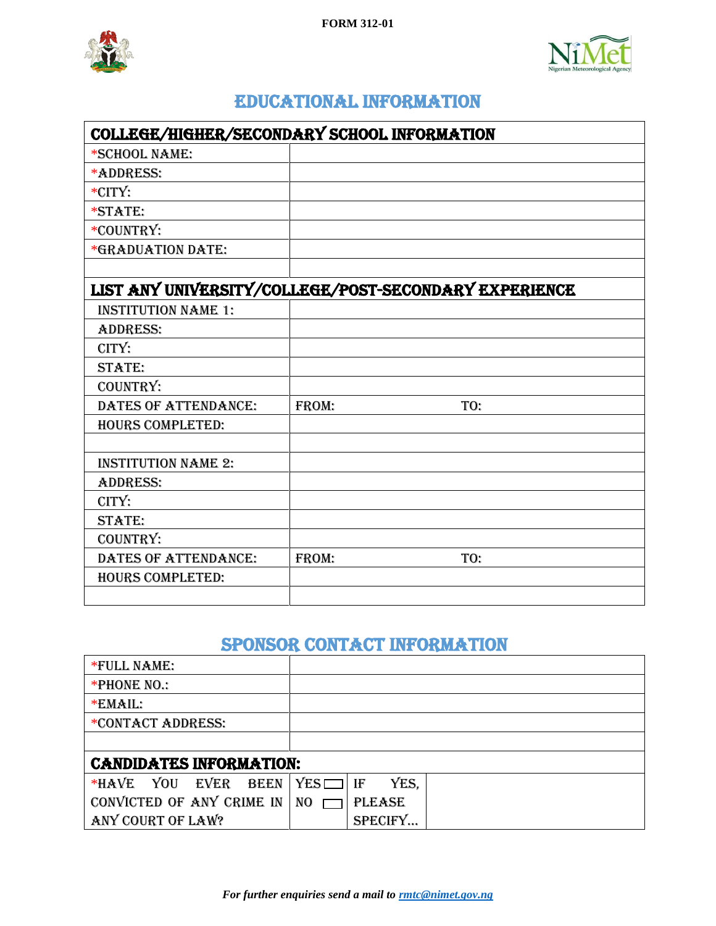



#### Educational INFORMATION

| COLLEGE/HIGHER/SECONDARY SCHOOL INFORMATION           |       |     |  |
|-------------------------------------------------------|-------|-----|--|
| *SCHOOL NAME:                                         |       |     |  |
| *ADDRESS:                                             |       |     |  |
| *CITY:                                                |       |     |  |
| *STATE:                                               |       |     |  |
| *COUNTRY:                                             |       |     |  |
| *GRADUATION DATE:                                     |       |     |  |
|                                                       |       |     |  |
| LIST ANY UNIVERSITY/COLLEGE/POST-SECONDARY EXPERIENCE |       |     |  |
| <b>INSTITUTION NAME 1:</b>                            |       |     |  |
| <b>ADDRESS:</b>                                       |       |     |  |
| CITY:                                                 |       |     |  |
| <b>STATE:</b>                                         |       |     |  |
| COUNTRY:                                              |       |     |  |
| DATES OF ATTENDANCE:                                  | FROM: | TO: |  |
| <b>HOURS COMPLETED:</b>                               |       |     |  |
|                                                       |       |     |  |
| <b>INSTITUTION NAME 2:</b>                            |       |     |  |
| <b>ADDRESS:</b>                                       |       |     |  |
| CITY:                                                 |       |     |  |
| <b>STATE:</b>                                         |       |     |  |
| COUNTRY:                                              |       |     |  |
| DATES OF ATTENDANCE:                                  | FROM: | TO: |  |
| <b>HOURS COMPLETED:</b>                               |       |     |  |
|                                                       |       |     |  |

## Sponsor Contact Information

| *FULL NAME:                      |                            |  |  |
|----------------------------------|----------------------------|--|--|
| *PHONE NO.:                      |                            |  |  |
| *EMAIL:                          |                            |  |  |
| *CONTACT ADDRESS:                |                            |  |  |
|                                  |                            |  |  |
| <b>CANDIDATES INFORMATION:</b>   |                            |  |  |
| EVER<br>*HAVE YOU<br><b>BEEN</b> | $YES$ $\Box$<br>YES.<br>IF |  |  |
| CONVICTED OF ANY CRIME IN        | NO<br><b>PLEASE</b>        |  |  |
| ANY COURT OF LAW?                | SPECIFY                    |  |  |